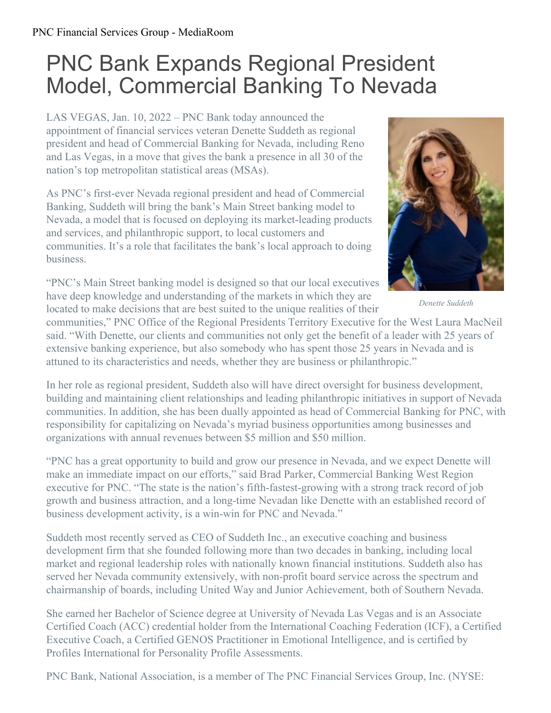## PNC Bank Expands Regional President Model, Commercial Banking To Nevada

LAS VEGAS, Jan. 10, 2022 – PNC Bank today announced the appointment of financial services veteran Denette Suddeth as regional president and head of Commercial Banking for Nevada, including Reno and Las Vegas, in a move that gives the bank a presence in all 30 of the nation's top metropolitan statistical areas (MSAs).

As PNC's first-ever Nevada regional president and head of Commercial Banking, Suddeth will bring the bank's Main Street banking model to Nevada, a model that is focused on deploying its market-leading products and services, and philanthropic support, to local customers and communities. It's a role that facilitates the bank's local approach to doing business.

"PNC's Main Street banking model is designed so that our local executives have deep knowledge and understanding of the markets in which they are located to make decisions that are best suited to the unique realities of their



*Denette Suddeth*

communities," PNC Office of the Regional Presidents Territory Executive for the West Laura MacNeil said. "With Denette, our clients and communities not only get the benefit of a leader with 25 years of extensive banking experience, but also somebody who has spent those 25 years in Nevada and is attuned to its characteristics and needs, whether they are business or philanthropic."

In her role as regional president, Suddeth also will have direct oversight for business development, building and maintaining client relationships and leading philanthropic initiatives in support of Nevada communities. In addition, she has been dually appointed as head of Commercial Banking for PNC, with responsibility for capitalizing on Nevada's myriad business opportunities among businesses and organizations with annual revenues between \$5 million and \$50 million.

"PNC has a great opportunity to build and grow our presence in Nevada, and we expect Denette will make an immediate impact on our efforts," said Brad Parker, Commercial Banking West Region executive for PNC. "The state is the nation's fifth-fastest-growing with a strong track record of job growth and business attraction, and a long-time Nevadan like Denette with an established record of business development activity, is a win-win for PNC and Nevada."

Suddeth most recently served as CEO of Suddeth Inc., an executive coaching and business development firm that she founded following more than two decades in banking, including local market and regional leadership roles with nationally known financial institutions. Suddeth also has served her Nevada community extensively, with non-profit board service across the spectrum and chairmanship of boards, including United Way and Junior Achievement, both of Southern Nevada.

She earned her Bachelor of Science degree at University of Nevada Las Vegas and is an Associate Certified Coach (ACC) credential holder from the International Coaching Federation (ICF), a Certified Executive Coach, a Certified GENOS Practitioner in Emotional Intelligence, and is certified by Profiles International for Personality Profile Assessments.

PNC Bank, National Association, is a member of The PNC Financial Services Group, Inc. (NYSE: